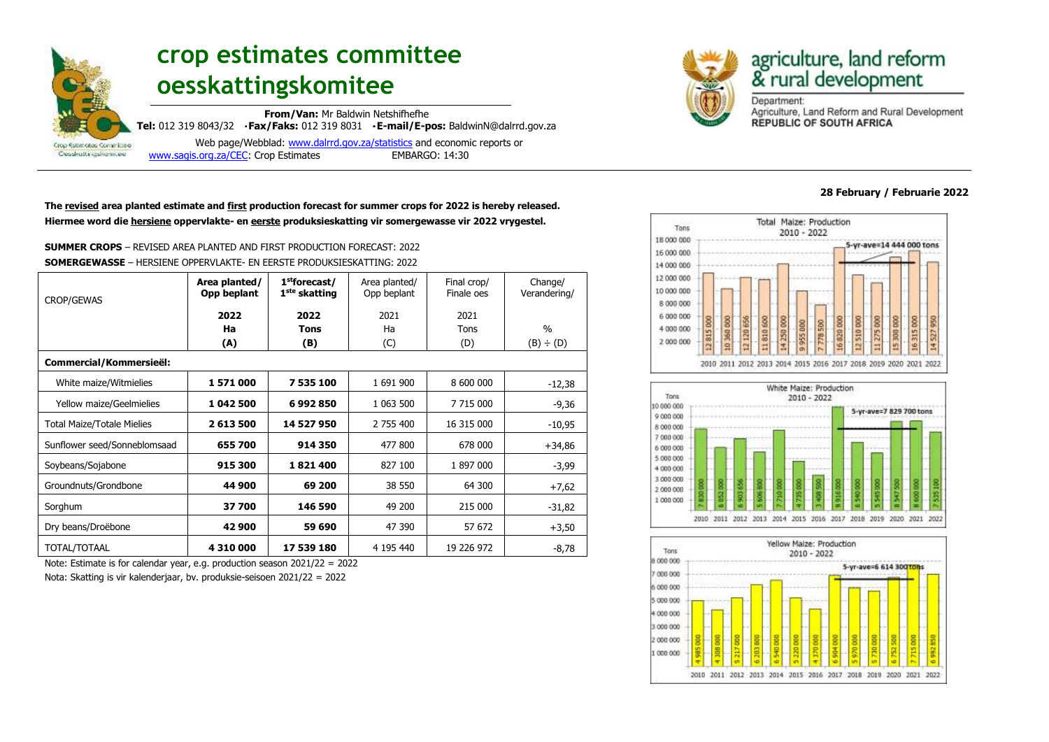

# **crop estimates committee oesskattingskomitee**

**From/Van:** Mr Baldwin Netshifhefhe **Tel:** 012 319 8043/32 **Fax/Faks:** 012 319 8031 **E-mail/E-pos:** BaldwinN@dalrrd.gov.za

 Web page/Webblad: [www.dalrrd.gov.za/statistics](http://www.dalrrd.gov.za/statistics) and economic reports or [www.sagis.org.za/CEC:](http://www.sagis.org.za/CEC) Crop Estimates EMBARGO: 14:30

**The revised area planted estimate and first production forecast for summer crops for 2022 is hereby released. Hiermee word die hersiene oppervlakte- en eerste produksieskatting vir somergewasse vir 2022 vrygestel.**

**SUMMER CROPS** – REVISED AREA PLANTED AND FIRST PRODUCTION FORECAST: 2022 **SOMERGEWASSE** – HERSIENE OPPERVLAKTE- EN EERSTE PRODUKSIESKATTING: 2022

| <b>CROP/GEWAS</b>                 | Area planted/<br>1 <sup>st</sup> forecast/<br>Opp beplant<br>1 <sup>ste</sup> skatting |             | Area planted/<br>Opp beplant | Final crop/<br>Finale oes | Change/<br>Verandering/ |  |
|-----------------------------------|----------------------------------------------------------------------------------------|-------------|------------------------------|---------------------------|-------------------------|--|
|                                   | 2022                                                                                   | 2022        | 2021                         | 2021                      |                         |  |
|                                   | Ha                                                                                     | <b>Tons</b> | Ha                           | Tons                      | $\%$                    |  |
|                                   | (A)                                                                                    | (B)         | (C)                          | (D)                       | (B) ÷ (D)               |  |
| Commercial/Kommersieël:           |                                                                                        |             |                              |                           |                         |  |
| White maize/Witmielies            | 1571000                                                                                | 7 535 100   | 1 691 900                    | 8 600 000                 | $-12,38$                |  |
| Yellow maize/Geelmielies          | 1 042 500                                                                              | 6992850     | 1 063 500                    | 7 715 000                 | -9,36                   |  |
| <b>Total Maize/Totale Mielies</b> | 2 613 500                                                                              | 14 527 950  | 2 755 400                    | 16 315 000                | $-10,95$                |  |
| Sunflower seed/Sonneblomsaad      | 655 700                                                                                | 914 350     | 477 800                      | 678 000                   | $+34,86$                |  |
| Soybeans/Sojabone                 | 915 300                                                                                | 1821400     | 827 100                      | 1897000                   | -3,99                   |  |
| Groundnuts/Grondbone              | 44 900                                                                                 | 69 200      | 38 550                       | 64 300                    | $+7,62$                 |  |
| Sorghum                           | 37700                                                                                  | 146 590     | 49 200                       | 215 000                   | $-31,82$                |  |
| Dry beans/Droëbone                | 42 900                                                                                 | 59 690      | 47 390                       | 57 672                    | $+3,50$                 |  |
| TOTAL/TOTAAL                      | 4 310 000                                                                              | 17 539 180  | 4 195 440                    | 19 226 972                | -8,78                   |  |

Note: Estimate is for calendar year, e.g. production season 2021/22 = 2022

Nota: Skatting is vir kalenderjaar, bv. produksie-seisoen 2021/22 = 2022



# agriculture, land reform<br>& rural development

Department: Agriculture, Land Reform and Rural Development **REPUBLIC OF SOUTH AFRICA** 

#### **28 February / Februarie 2022**





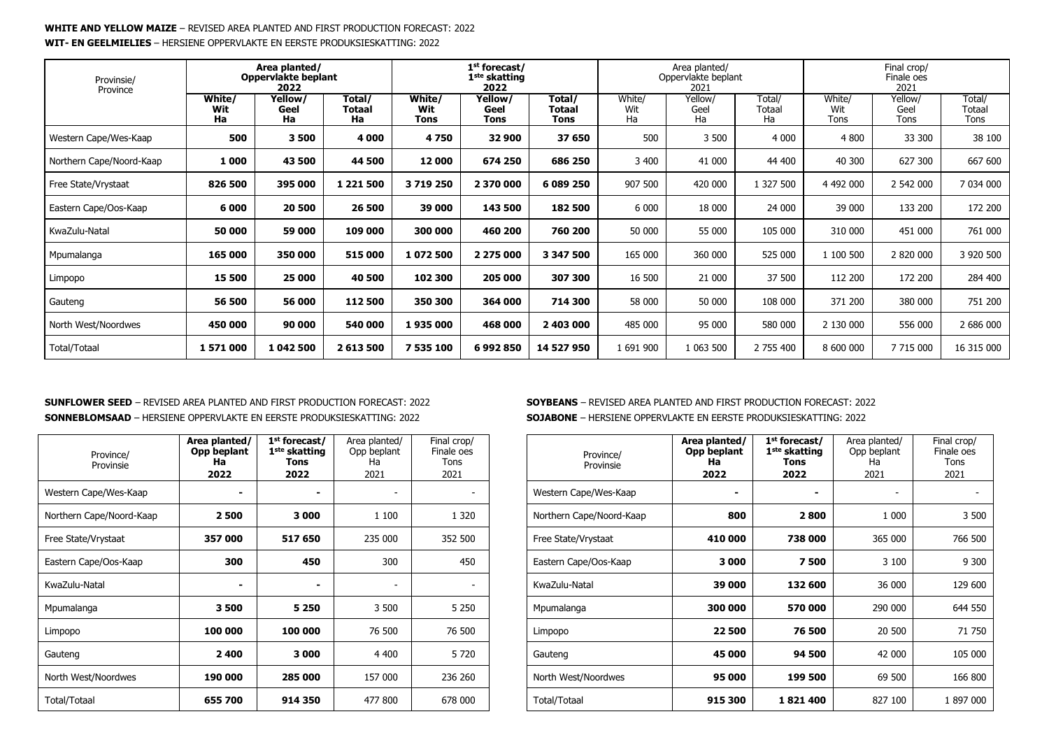#### **WHITE AND YELLOW MAIZE** – REVISED AREA PLANTED AND FIRST PRODUCTION FORECAST: 2022 **WIT- EN GEELMIELIES** – HERSIENE OPPERVLAKTE EN EERSTE PRODUKSIESKATTING: 2022

| Provinsie/<br>Province   |                     | Area planted/<br>Oppervlakte beplant<br>2022 |                               |                       | 1 <sup>st</sup> forecast/<br>1 <sup>ste</sup> skatting<br>2022 |                                        | Area planted/<br>Oppervlakte beplant<br>2021 |                       | Final crop/<br>Finale oes<br>2021 |                       |                         |                          |
|--------------------------|---------------------|----------------------------------------------|-------------------------------|-----------------------|----------------------------------------------------------------|----------------------------------------|----------------------------------------------|-----------------------|-----------------------------------|-----------------------|-------------------------|--------------------------|
|                          | White/<br>Wit<br>Ha | Yellow/<br>Geel<br>Ha                        | Total/<br><b>Totaal</b><br>Ha | White/<br>Wit<br>Tons | Yellow/<br>Geel<br>Tons                                        | Total/<br><b>Totaal</b><br><b>Tons</b> | White/<br>Wit<br>Ha                          | Yellow/<br>Geel<br>Ha | Total/<br>Totaal<br>Ha            | White/<br>Wit<br>Tons | Yellow/<br>Geel<br>Tons | Total/<br>Totaal<br>Tons |
| Western Cape/Wes-Kaap    | 500                 | 3500                                         | 4 000                         | 4750                  | 32 900                                                         | 37 650                                 | 500                                          | 3 500                 | 4 0 0 0                           | 4 800                 | 33 300                  | 38 100                   |
| Northern Cape/Noord-Kaap | 1 000               | 43 500                                       | 44 500                        | 12 000                | 674 250                                                        | 686 250                                | 3 4 0 0                                      | 41 000                | 44 400                            | 40 300                | 627 300                 | 667 600                  |
| Free State/Vrystaat      | 826 500             | 395 000                                      | 1 2 2 1 5 0 0                 | 3719250               | 2 370 000                                                      | 6 089 250                              | 907 500                                      | 420 000               | 1 327 500                         | 4 492 000             | 2 542 000               | 7 034 000                |
| Eastern Cape/Oos-Kaap    | 6 000               | 20 500                                       | 26 500                        | 39 000                | 143 500                                                        | 182 500                                | 6 0 0 0                                      | 18 000                | 24 000                            | 39 000                | 133 200                 | 172 200                  |
| KwaZulu-Natal            | 50 000              | 59 000                                       | 109 000                       | 300 000               | 460 200                                                        | 760 200                                | 50 000                                       | 55 000                | 105 000                           | 310 000               | 451 000                 | 761 000                  |
| Mpumalanga               | 165 000             | 350 000                                      | 515 000                       | 1072500               | 2 275 000                                                      | 3 347 500                              | 165 000                                      | 360 000               | 525 000                           | 1 100 500             | 2 820 000               | 3 920 500                |
| Limpopo                  | 15 500              | 25 000                                       | 40 500                        | 102 300               | 205 000                                                        | 307 300                                | 16 500                                       | 21 000                | 37 500                            | 112 200               | 172 200                 | 284 400                  |
| Gauteng                  | 56 500              | 56 000                                       | 112 500                       | 350 300               | 364 000                                                        | 714 300                                | 58 000                                       | 50 000                | 108 000                           | 371 200               | 380 000                 | 751 200                  |
| North West/Noordwes      | 450 000             | 90 000                                       | 540 000                       | 1935000               | 468 000                                                        | 2 403 000                              | 485 000                                      | 95 000                | 580 000                           | 2 130 000             | 556 000                 | 2 686 000                |
| Total/Totaal             | 1571000             | 1 042 500                                    | 2613500                       | 7 535 100             | 6992850                                                        | 14 527 950                             | 1691900                                      | 1 063 500             | 2 755 400                         | 8 600 000             | 7 715 000               | 16 315 000               |

#### **SUNFLOWER SEED** – REVISED AREA PLANTED AND FIRST PRODUCTION FORECAST: 2022 **SONNEBLOMSAAD** – HERSIENE OPPERVLAKTE EN EERSTE PRODUKSIESKATTING: 2022

| Province/<br>Provinsie   | Area planted/<br>Opp beplant<br>Ha<br>2022 | 1 <sup>st</sup> forecast/<br>1 <sup>ste</sup> skatting<br><b>Tons</b><br>2022 | Area planted/<br>Opp beplant<br>Ha<br>2021 | Final crop/<br>Finale oes<br>Tons<br>2021 |
|--------------------------|--------------------------------------------|-------------------------------------------------------------------------------|--------------------------------------------|-------------------------------------------|
| Western Cape/Wes-Kaap    |                                            | ۰                                                                             |                                            |                                           |
| Northern Cape/Noord-Kaap | 2500                                       | 3 000                                                                         | 1 100                                      | 1 3 2 0                                   |
| Free State/Vrystaat      | 357 000                                    | 517 650                                                                       | 235 000                                    | 352 500                                   |
| Eastern Cape/Oos-Kaap    | 300                                        | 450                                                                           | 300                                        | 450                                       |
| KwaZulu-Natal            |                                            |                                                                               | $\overline{\phantom{a}}$                   |                                           |
| Mpumalanga               | 3500                                       | 5 2 5 0                                                                       | 3 500                                      | 5 2 5 0                                   |
| Limpopo                  | 100 000                                    | 100 000                                                                       | 76 500                                     | 76 500                                    |
| Gauteng                  | 2400                                       | 3 000                                                                         | 4 4 0 0                                    | 5 7 20                                    |
| North West/Noordwes      | 190 000                                    | 285 000                                                                       | 157 000                                    | 236 260                                   |
| Total/Totaal             | 655 700                                    | 914 350                                                                       | 477 800                                    | 678 000                                   |

#### **SOYBEANS** – REVISED AREA PLANTED AND FIRST PRODUCTION FORECAST: 2022 **SOJABONE** – HERSIENE OPPERVLAKTE EN EERSTE PRODUKSIESKATTING: 2022

| Province/<br>Provinsie   | Area planted/<br>Opp beplant<br>Ha<br>2022 | 1 <sup>st</sup> forecast/<br>1 <sup>ste</sup> skatting<br>Tons<br>2022 | Area planted/<br>Opp beplant<br>Ha<br>2021 | Final crop/<br>Finale oes<br>Tons<br>2021 |
|--------------------------|--------------------------------------------|------------------------------------------------------------------------|--------------------------------------------|-------------------------------------------|
| Western Cape/Wes-Kaap    |                                            |                                                                        |                                            |                                           |
| Northern Cape/Noord-Kaap | 800                                        | 2800                                                                   | 1 000                                      | 3 500                                     |
| Free State/Vrystaat      | 410 000                                    | 738 000                                                                | 365 000                                    | 766 500                                   |
| Eastern Cape/Oos-Kaap    | 3000                                       | 7500                                                                   | 3 100                                      | 9 300                                     |
| KwaZulu-Natal            | 39 000                                     | 132 600                                                                | 36 000                                     | 129 600                                   |
| Mpumalanga               | 300 000                                    | 570 000                                                                | 290 000                                    | 644 550                                   |
| Limpopo                  | 22500                                      | 76 500                                                                 | 20 500                                     | 71 750                                    |
| Gauteng                  | 45 000                                     | 94 500                                                                 | 42 000                                     | 105 000                                   |
| North West/Noordwes      | 95 000                                     | 199 500                                                                | 69 500                                     | 166 800                                   |
| Total/Totaal             | 915 300                                    | 1821400                                                                | 827 100                                    | 1897000                                   |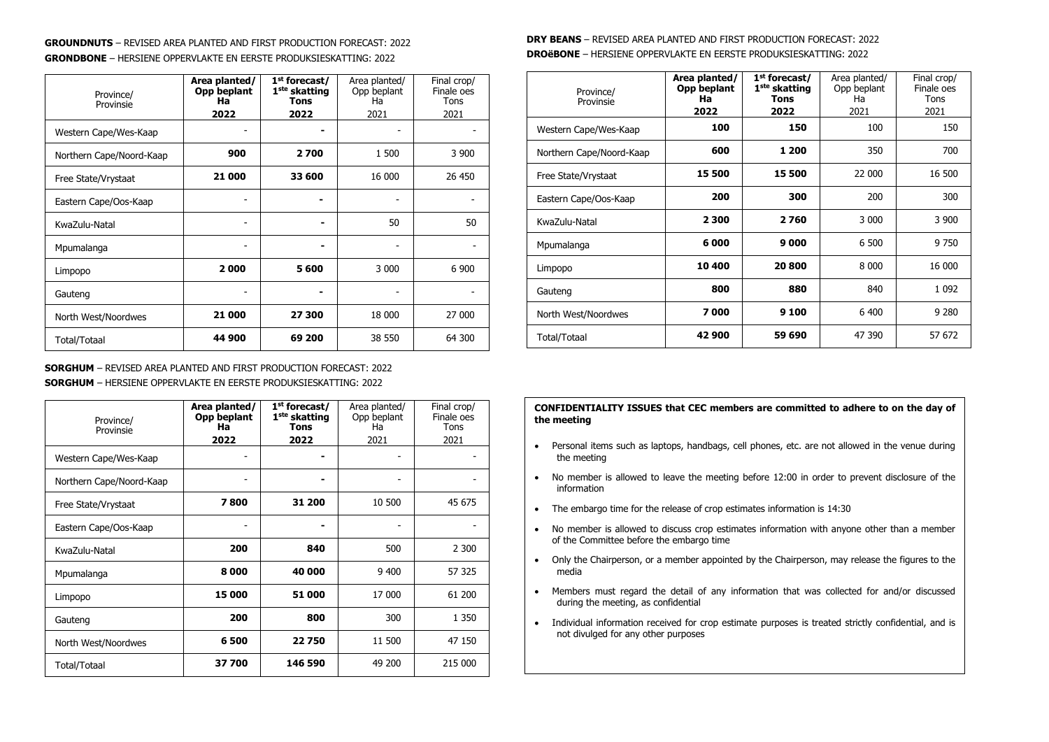#### **GROUNDNUTS** – REVISED AREA PLANTED AND FIRST PRODUCTION FORECAST: 2022 **GRONDBONE** – HERSIENE OPPERVLAKTE EN EERSTE PRODUKSIESKATTING: 2022

| Province/<br>Provinsie   | Area planted/<br>Opp beplant<br>Ha<br>2022 | 1 <sup>st</sup> forecast/<br>1 <sup>ste</sup> skatting<br>Tons<br>2022 | Area planted/<br>Opp beplant<br>Ha<br>2021 | Final crop/<br>Finale oes<br>Tons<br>2021 |
|--------------------------|--------------------------------------------|------------------------------------------------------------------------|--------------------------------------------|-------------------------------------------|
| Western Cape/Wes-Kaap    |                                            |                                                                        |                                            |                                           |
| Northern Cape/Noord-Kaap | 900                                        | 2700                                                                   | 1 500                                      | 3 9 0 0                                   |
| Free State/Vrystaat      | 21 000                                     | 33 600                                                                 | 16 000                                     | 26 450                                    |
| Eastern Cape/Oos-Kaap    |                                            |                                                                        |                                            |                                           |
| KwaZulu-Natal            |                                            |                                                                        | 50                                         | 50                                        |
| Mpumalanga               |                                            |                                                                        |                                            |                                           |
| Limpopo                  | 2000                                       | 5 600                                                                  | 3 0 0 0                                    | 6 900                                     |
| Gauteng                  |                                            |                                                                        |                                            |                                           |
| North West/Noordwes      | 21 000                                     | 27 300                                                                 | 18 000                                     | 27 000                                    |
| Total/Totaal             | 44 900                                     | 69 200                                                                 | 38 550                                     | 64 300                                    |

#### **SORGHUM** – REVISED AREA PLANTED AND FIRST PRODUCTION FORECAST: 2022 **SORGHUM** – HERSIENE OPPERVLAKTE EN EERSTE PRODUKSIESKATTING: 2022

| Province/<br>Provinsie   | Area planted/<br>Opp beplant<br>Ha<br>2022 | 1 <sup>st</sup> forecast/<br>1 <sup>ste</sup> skatting<br><b>Tons</b><br>2022 | Area planted/<br>Opp beplant<br>Ha<br>2021 | Final crop/<br>Finale oes<br>Tons<br>2021 |
|--------------------------|--------------------------------------------|-------------------------------------------------------------------------------|--------------------------------------------|-------------------------------------------|
| Western Cape/Wes-Kaap    |                                            |                                                                               |                                            |                                           |
| Northern Cape/Noord-Kaap |                                            |                                                                               |                                            |                                           |
| Free State/Vrystaat      | 7800                                       | 31 200                                                                        | 10 500                                     | 45 675                                    |
| Eastern Cape/Oos-Kaap    |                                            |                                                                               |                                            |                                           |
| KwaZulu-Natal            | 200                                        | 840                                                                           | 500                                        | 2 300                                     |
| Mpumalanga               | 8000                                       | 40 000                                                                        | 9 4 0 0                                    | 57 325                                    |
| Limpopo                  | 15 000                                     | 51 000                                                                        | 17 000                                     | 61 200                                    |
| Gauteng                  | 200                                        | 800                                                                           | 300                                        | 1 3 5 0                                   |
| North West/Noordwes      | 6500                                       | 22750                                                                         | 11 500                                     | 47 150                                    |
| Total/Totaal             | 37700                                      | 146 590                                                                       | 49 200                                     | 215 000                                   |

## **DRY BEANS** – REVISED AREA PLANTED AND FIRST PRODUCTION FORECAST: 2022 **DROëBONE** – HERSIENE OPPERVLAKTE EN EERSTE PRODUKSIESKATTING: 2022

| Province/<br>Provinsie   | Area planted/<br>Opp beplant<br>Ha<br>2022 | 1 <sup>st</sup> forecast/<br>1 <sup>ste</sup> skatting<br>Tons<br>2022 | Area planted/<br>Opp beplant<br>Ha<br>2021 | Final crop/<br>Finale oes<br>Tons<br>2021 |
|--------------------------|--------------------------------------------|------------------------------------------------------------------------|--------------------------------------------|-------------------------------------------|
| Western Cape/Wes-Kaap    | 100                                        | 150                                                                    | 100                                        | 150                                       |
| Northern Cape/Noord-Kaap | 600                                        | 1 200                                                                  | 350                                        | 700                                       |
| Free State/Vrystaat      | 15 500                                     | 15 500                                                                 | 22 000                                     | 16 500                                    |
| Eastern Cape/Oos-Kaap    | 200                                        | 300                                                                    | 200                                        | 300                                       |
| KwaZulu-Natal            | 2 300                                      | 2760                                                                   | 3 0 0 0                                    | 3 9 0 0                                   |
| Mpumalanga               | 6000                                       | 9000                                                                   | 6 500                                      | 9 7 5 0                                   |
| Limpopo                  | 10 400                                     | 20 800                                                                 | 8 000                                      | 16 000                                    |
| Gauteng                  | 800                                        | 880                                                                    | 840                                        | 1 0 9 2                                   |
| North West/Noordwes      | 7000                                       | 9 1 0 0                                                                | 6 400                                      | 9 2 8 0                                   |
| Total/Totaal             | 42 900                                     | 59 690                                                                 | 47 390                                     | 57 672                                    |

#### **CONFIDENTIALITY ISSUES that CEC members are committed to adhere to on the day of the meeting**

- Personal items such as laptops, handbags, cell phones, etc. are not allowed in the venue during the meeting
- No member is allowed to leave the meeting before 12:00 in order to prevent disclosure of the information
- The embargo time for the release of crop estimates information is 14:30
- No member is allowed to discuss crop estimates information with anyone other than a member of the Committee before the embargo time
- Only the Chairperson, or a member appointed by the Chairperson, may release the figures to the media
- Members must regard the detail of any information that was collected for and/or discussed during the meeting, as confidential
- Individual information received for crop estimate purposes is treated strictly confidential, and is not divulged for any other purposes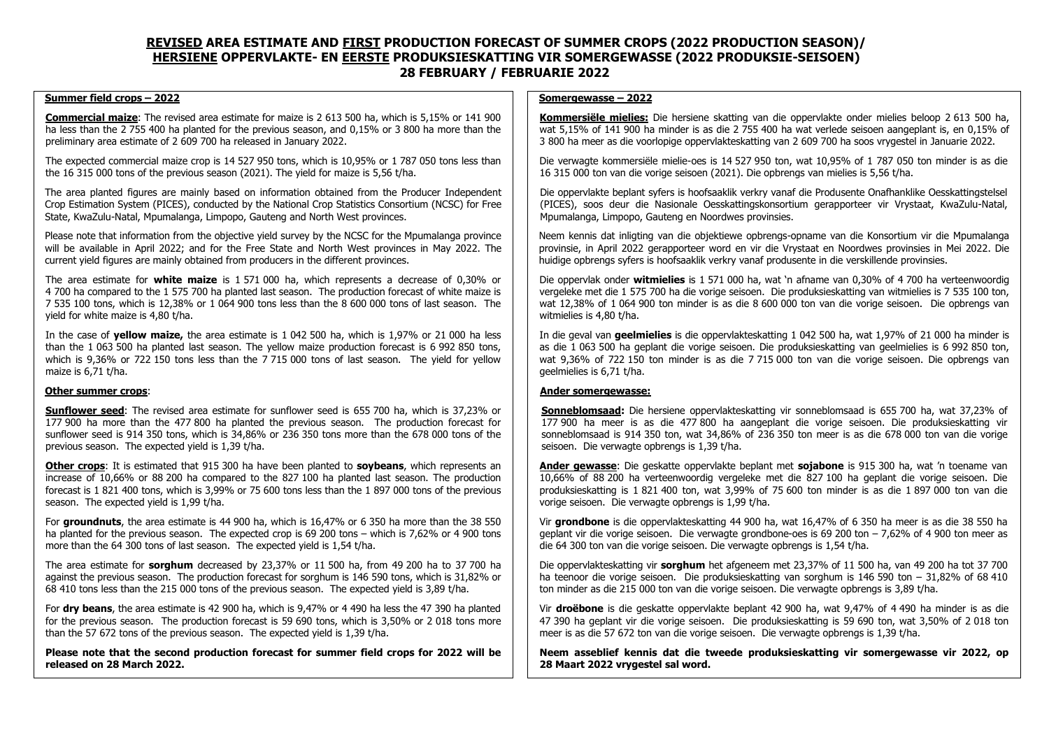# **REVISED AREA ESTIMATE AND FIRST PRODUCTION FORECAST OF SUMMER CROPS (2022 PRODUCTION SEASON)/ HERSIENE OPPERVLAKTE- EN EERSTE PRODUKSIESKATTING VIR SOMERGEWASSE (2022 PRODUKSIE-SEISOEN) 28 FEBRUARY / FEBRUARIE 2022**

#### **Summer field crops – 2022**

**Commercial maize**: The revised area estimate for maize is 2 613 500 ha, which is 5,15% or 141 900 ha less than the 2 755 400 ha planted for the previous season, and 0,15% or 3 800 ha more than the preliminary area estimate of 2 609 700 ha released in January 2022.

The expected commercial maize crop is 14 527 950 tons, which is 10,95% or 1 787 050 tons less than the 16 315 000 tons of the previous season (2021). The yield for maize is 5,56 t/ha.

The area planted figures are mainly based on information obtained from the Producer Independent Crop Estimation System (PICES), conducted by the National Crop Statistics Consortium (NCSC) for Free State, KwaZulu-Natal, Mpumalanga, Limpopo, Gauteng and North West provinces.

Please note that information from the objective yield survey by the NCSC for the Mpumalanga province will be available in April 2022; and for the Free State and North West provinces in May 2022. The current yield figures are mainly obtained from producers in the different provinces.

The area estimate for **white maize** is 1 571 000 ha, which represents a decrease of 0,30% or 4 700 ha compared to the 1 575 700 ha planted last season. The production forecast of white maize is 7 535 100 tons, which is 12,38% or 1 064 900 tons less than the 8 600 000 tons of last season. The yield for white maize is 4,80 t/ha.

In the case of **yellow maize,** the area estimate is 1 042 500 ha, which is 1,97% or 21 000 ha less than the 1 063 500 ha planted last season. The yellow maize production forecast is 6 992 850 tons, which is 9,36% or 722 150 tons less than the 7 715 000 tons of last season. The yield for yellow maize is 6,71 t/ha.

#### **Other summer crops**:

**Sunflower seed**: The revised area estimate for sunflower seed is 655 700 ha, which is 37,23% or 177 900 ha more than the 477 800 ha planted the previous season. The production forecast for sunflower seed is 914 350 tons, which is 34,86% or 236 350 tons more than the 678 000 tons of the previous season. The expected yield is 1,39 t/ha.

**Other crops**: It is estimated that 915 300 ha have been planted to **soybeans**, which represents an increase of 10,66% or 88 200 ha compared to the 827 100 ha planted last season. The production forecast is 1 821 400 tons, which is 3,99% or 75 600 tons less than the 1 897 000 tons of the previous season. The expected yield is 1,99 t/ha.

For **groundnuts**, the area estimate is 44 900 ha, which is 16,47% or 6 350 ha more than the 38 550 ha planted for the previous season. The expected crop is 69 200 tons – which is 7.62% or 4 900 tons more than the 64 300 tons of last season. The expected yield is 1,54 t/ha.

The area estimate for **sorghum** decreased by 23,37% or 11 500 ha, from 49 200 ha to 37 700 ha against the previous season. The production forecast for sorghum is 146 590 tons, which is 31,82% or 68 410 tons less than the 215 000 tons of the previous season. The expected yield is 3,89 t/ha.

For **dry beans**, the area estimate is 42 900 ha, which is 9,47% or 4 490 ha less the 47 390 ha planted for the previous season. The production forecast is 59 690 tons, which is 3,50% or 2 018 tons more than the 57 672 tons of the previous season. The expected yield is 1,39 t/ha.

**Please note that the second production forecast for summer field crops for 2022 will be released on 28 March 2022.**

#### **Somergewasse – 2022**

**Kommersiële mielies:** Die hersiene skatting van die oppervlakte onder mielies beloop 2 613 500 ha, wat 5,15% of 141 900 ha minder is as die 2 755 400 ha wat verlede seisoen aangeplant is, en 0,15% of 3 800 ha meer as die voorlopige oppervlakteskatting van 2 609 700 ha soos vrygestel in Januarie 2022.

Die verwagte kommersiële mielie-oes is 14 527 950 ton, wat 10,95% of 1 787 050 ton minder is as die 16 315 000 ton van die vorige seisoen (2021). Die opbrengs van mielies is 5,56 t/ha.

Die oppervlakte beplant syfers is hoofsaaklik verkry vanaf die Produsente Onafhanklike Oesskattingstelsel (PICES), soos deur die Nasionale Oesskattingskonsortium gerapporteer vir Vrystaat, KwaZulu-Natal, Mpumalanga, Limpopo, Gauteng en Noordwes provinsies.

Neem kennis dat inligting van die objektiewe opbrengs-opname van die Konsortium vir die Mpumalanga provinsie, in April 2022 gerapporteer word en vir die Vrystaat en Noordwes provinsies in Mei 2022. Die huidige opbrengs syfers is hoofsaaklik verkry vanaf produsente in die verskillende provinsies.

Die oppervlak onder **witmielies** is 1 571 000 ha, wat 'n afname van 0,30% of 4 700 ha verteenwoordig vergeleke met die 1 575 700 ha die vorige seisoen. Die produksieskatting van witmielies is 7 535 100 ton, wat 12,38% of 1 064 900 ton minder is as die 8 600 000 ton van die vorige seisoen. Die opbrengs van witmielies is 4,80 t/ha.

In die geval van **geelmielies** is die oppervlakteskatting 1 042 500 ha, wat 1,97% of 21 000 ha minder is as die 1 063 500 ha geplant die vorige seisoen. Die produksieskatting van geelmielies is 6 992 850 ton, wat 9,36% of 722 150 ton minder is as die 7 715 000 ton van die vorige seisoen. Die opbrengs van geelmielies is 6,71 t/ha.

#### **Ander somergewasse:**

**Sonneblomsaad:** Die hersiene oppervlakteskatting vir sonneblomsaad is 655 700 ha, wat 37,23% of 177 900 ha meer is as die 477 800 ha aangeplant die vorige seisoen. Die produksieskatting vir sonneblomsaad is 914 350 ton, wat 34,86% of 236 350 ton meer is as die 678 000 ton van die vorige seisoen. Die verwagte opbrengs is 1,39 t/ha.

**Ander gewasse**: Die geskatte oppervlakte beplant met **sojabone** is 915 300 ha, wat 'n toename van 10,66% of 88 200 ha verteenwoordig vergeleke met die 827 100 ha geplant die vorige seisoen. Die produksieskatting is 1 821 400 ton, wat 3,99% of 75 600 ton minder is as die 1 897 000 ton van die vorige seisoen. Die verwagte opbrengs is 1,99 t/ha.

Vir **grondbone** is die oppervlakteskatting 44 900 ha, wat 16,47% of 6 350 ha meer is as die 38 550 ha geplant vir die vorige seisoen. Die verwagte grondbone-oes is 69 200 ton  $-7.62\%$  of 4 900 ton meer as die 64 300 ton van die vorige seisoen. Die verwagte opbrengs is 1,54 t/ha.

Die oppervlakteskatting vir **sorghum** het afgeneem met 23,37% of 11 500 ha, van 49 200 ha tot 37 700 ha teenoor die vorige seisoen. Die produksieskatting van sorghum is 146 590 ton – 31,82% of 68 410 ton minder as die 215 000 ton van die vorige seisoen. Die verwagte opbrengs is 3,89 t/ha.

Vir **droëbone** is die geskatte oppervlakte beplant 42 900 ha, wat 9,47% of 4 490 ha minder is as die 47 390 ha geplant vir die vorige seisoen. Die produksieskatting is 59 690 ton, wat 3,50% of 2 018 ton meer is as die 57 672 ton van die vorige seisoen. Die verwagte opbrengs is 1,39 t/ha.

**Neem asseblief kennis dat die tweede produksieskatting vir somergewasse vir 2022, op 28 Maart 2022 vrygestel sal word.**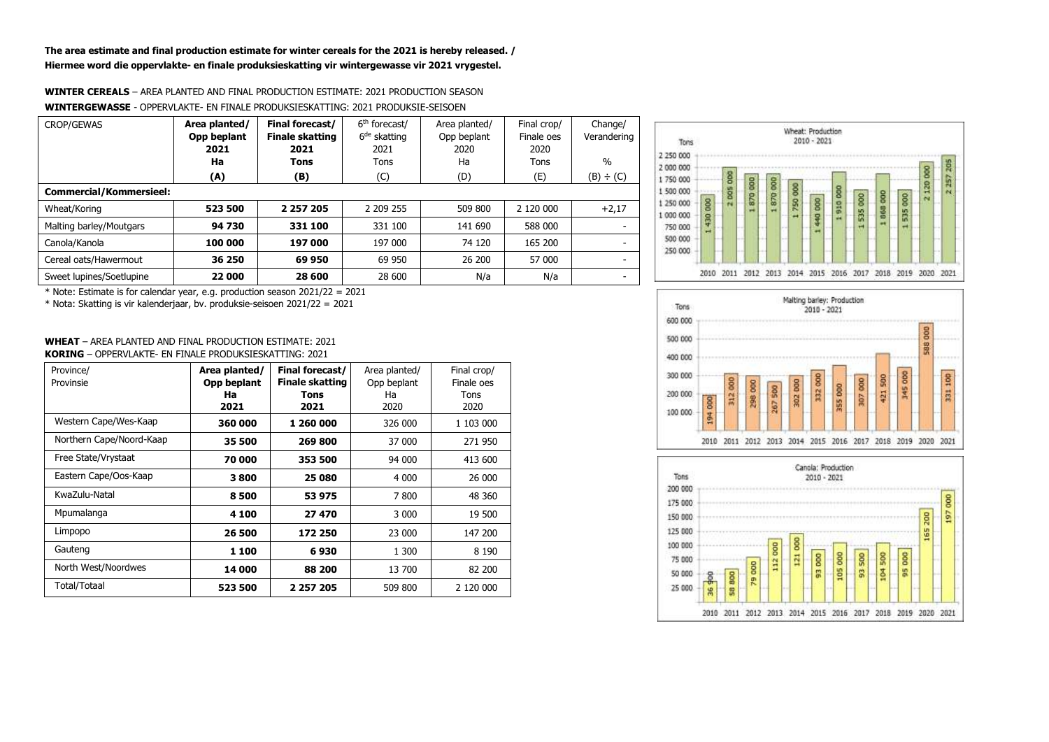**The area estimate and final production estimate for winter cereals for the 2021 is hereby released. / Hiermee word die oppervlakte- en finale produksieskatting vir wintergewasse vir 2021 vrygestel.**

#### **WINTER CEREALS** – AREA PLANTED AND FINAL PRODUCTION ESTIMATE: 2021 PRODUCTION SEASON **WINTERGEWASSE** - OPPERVLAKTE- EN FINALE PRODUKSIESKATTING: 2021 PRODUKSIE-SEISOEN

| <b>CROP/GEWAS</b>              | Area planted/<br>Opp beplant | Final forecast/<br><b>Finale skatting</b> | 6 <sup>th</sup> forecast/<br>$6de$ skatting | Area planted/<br>Opp beplant | Final crop/<br>Finale oes | Change/<br>Verandering   |  |  |
|--------------------------------|------------------------------|-------------------------------------------|---------------------------------------------|------------------------------|---------------------------|--------------------------|--|--|
|                                | 2021                         | 2021                                      | 2021                                        | 2020                         | 2020                      |                          |  |  |
|                                | Ha                           | <b>Tons</b>                               | Tons                                        | Ha                           | <b>Tons</b>               | $\frac{0}{0}$            |  |  |
|                                | (A)                          | (B)                                       | (C)                                         | (D)                          | (E)                       | (B) ÷ (C)                |  |  |
| <b>Commercial/Kommersieel:</b> |                              |                                           |                                             |                              |                           |                          |  |  |
| Wheat/Koring                   | 523 500                      | 2 2 5 7 2 0 5                             | 2 209 255                                   | 509 800                      | 2 120 000                 | $+2,17$                  |  |  |
| Malting barley/Moutgars        | 94 730                       | 331 100                                   | 331 100                                     | 141 690                      | 588 000                   |                          |  |  |
| Canola/Kanola                  | 100 000                      | 197 000                                   | 197 000                                     | 74 120                       | 165 200                   | $\overline{\phantom{0}}$ |  |  |
| Cereal oats/Hawermout          | 36 250                       | 69 950                                    | 69 950                                      | 26 200                       | 57 000                    | $\overline{\phantom{0}}$ |  |  |
| Sweet lupines/Soetlupine       | 22 000                       | 28 600                                    | 28 600                                      | N/a                          | N/a                       | $\overline{\phantom{a}}$ |  |  |

\* Note: Estimate is for calendar year, e.g. production season 2021/22 = 2021

\* Nota: Skatting is vir kalenderjaar, bv. produksie-seisoen 2021/22 = 2021







## **WHEAT** – AREA PLANTED AND FINAL PRODUCTION ESTIMATE: 2021 **KORING** – OPPERVLAKTE- EN FINALE PRODUKSIESKATTING: 2021

| Province/<br>Provinsie   | Area planted/<br>Opp beplant<br>Ha<br>2021 | Final forecast/<br><b>Finale skatting</b><br><b>Tons</b><br>2021 | Area planted/<br>Opp beplant<br>Ha<br>2020 | Final crop/<br>Finale oes<br>Tons<br>2020 |
|--------------------------|--------------------------------------------|------------------------------------------------------------------|--------------------------------------------|-------------------------------------------|
| Western Cape/Wes-Kaap    | 360 000                                    | 1 260 000                                                        | 326 000                                    | 1 103 000                                 |
| Northern Cape/Noord-Kaap | 35 500                                     | 269 800                                                          | 37 000                                     | 271 950                                   |
| Free State/Vrystaat      | 70 000                                     | 353 500                                                          | 94 000                                     | 413 600                                   |
| Eastern Cape/Oos-Kaap    | 3800                                       | 25 080                                                           | 4 0 0 0                                    | 26 000                                    |
| KwaZulu-Natal            | 8500                                       | 53975                                                            | 7800                                       | 48 360                                    |
| Mpumalanga               | 4 100                                      | 27 470                                                           | 3 0 0 0                                    | 19 500                                    |
| Limpopo                  | 26 500                                     | 172 250                                                          | 23 000                                     | 147 200                                   |
| Gauteng                  | 1 100                                      | 6930                                                             | 1 300                                      | 8 1 9 0                                   |
| North West/Noordwes      | 14 000                                     | 88 200                                                           | 13 700                                     | 82 200                                    |
| Total/Totaal             | 523 500                                    | 2 257 205                                                        | 509 800                                    | 2 120 000                                 |